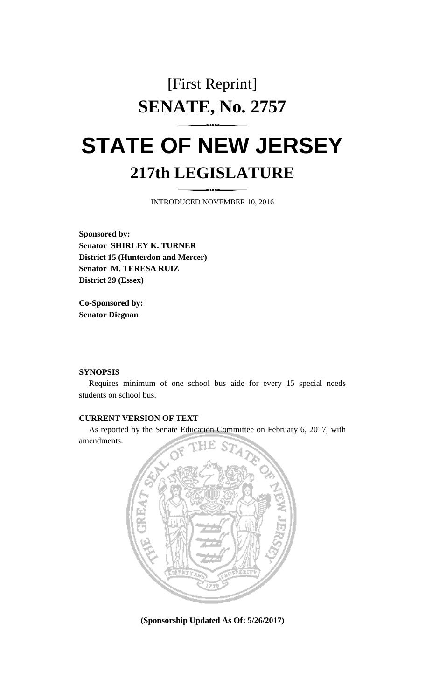## [First Reprint] **SENATE, No. 2757**

## **STATE OF NEW JERSEY 217th LEGISLATURE**

INTRODUCED NOVEMBER 10, 2016

**Sponsored by: Senator SHIRLEY K. TURNER District 15 (Hunterdon and Mercer) Senator M. TERESA RUIZ District 29 (Essex)**

**Co-Sponsored by: Senator Diegnan**

## **SYNOPSIS**

Requires minimum of one school bus aide for every 15 special needs students on school bus.

## **CURRENT VERSION OF TEXT**

As reported by the Senate Education Committee on February 6, 2017, with amendments.



**(Sponsorship Updated As Of: 5/26/2017)**